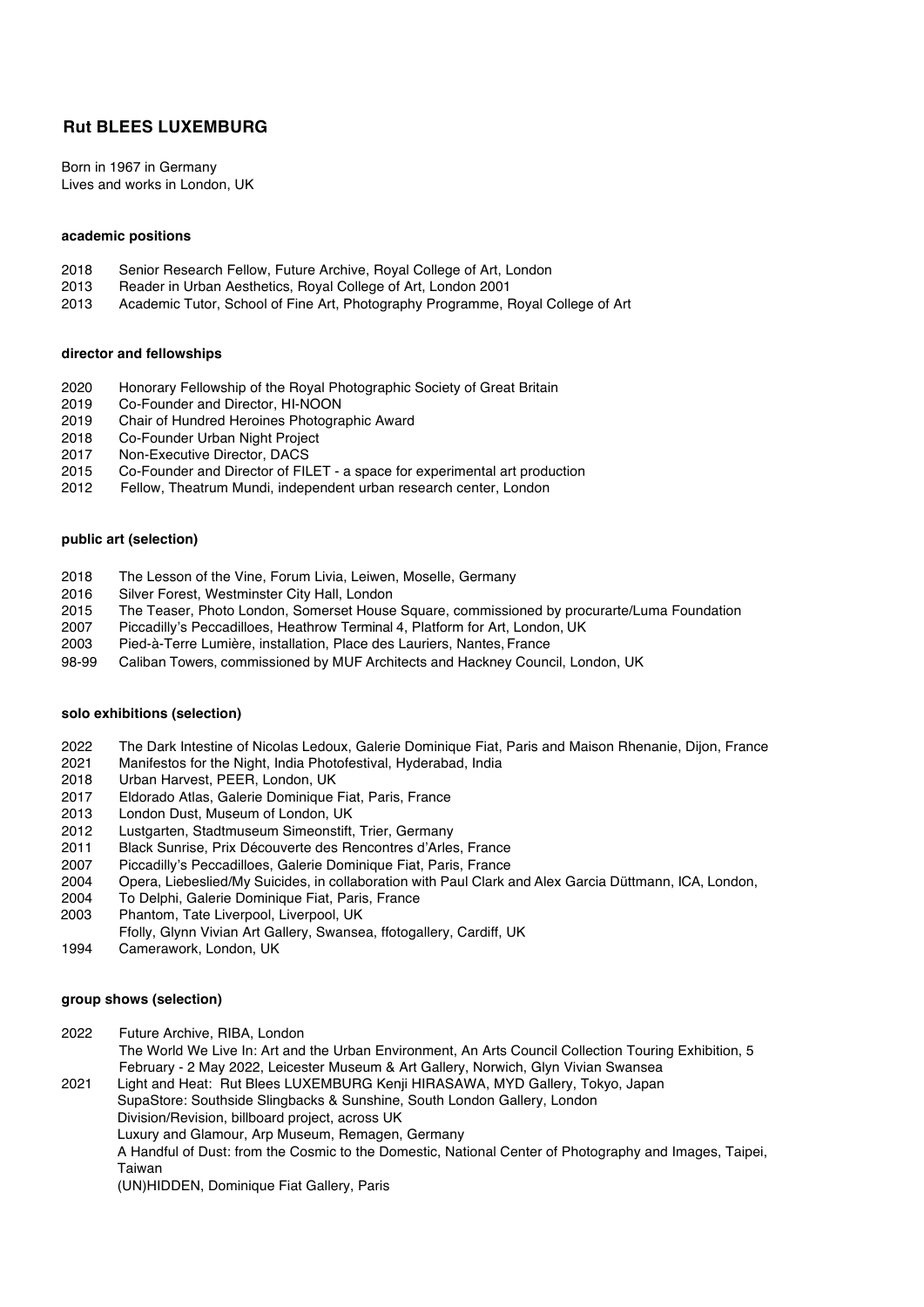# **Rut BLEES LUXEMBURG**

Born in 1967 in Germany Lives and works in London, UK

## **academic positions**

- 2018 Senior Research Fellow, Future Archive, Royal College of Art, London
- 2013 Reader in Urban Aesthetics, Royal College of Art, London 2001
- 2013 Academic Tutor, School of Fine Art, Photography Programme, Royal College of Art

#### **director and fellowships**

- 2020 Honorary Fellowship of the Royal Photographic Society of Great Britain
- 2019 Co-Founder and Director, HI-NOON
- 2019 Chair of Hundred Heroines Photographic Award
- 2018 Co-Founder Urban Night Project<br>2017 Non-Executive Director, DACS
- Non-Executive Director, DACS
- 2015 Co-Founder and Director of FILET a space for experimental art production
- 2012 Fellow, Theatrum Mundi, independent urban research center, London

## **public art (selection)**

- 2018 The Lesson of the Vine, Forum Livia, Leiwen, Moselle, Germany
- 2016 Silver Forest, Westminster City Hall, London
- 2015 The Teaser, Photo London, Somerset House Square, commissioned by procurarte/Luma Foundation
- 2007 Piccadilly's Peccadilloes, Heathrow Terminal 4, Platform for Art, London, UK
- 2003 Pied-à-Terre Lumière, installation, Place des Lauriers, Nantes, France
- 98-99 Caliban Towers, commissioned by MUF Architects and Hackney Council, London, UK

# **solo exhibitions (selection)**

- 2022 The Dark Intestine of Nicolas Ledoux, Galerie Dominique Fiat, Paris and Maison Rhenanie, Dijon, France
- 2021 Manifestos for the Night, India Photofestival, Hyderabad, India
- 2018 Urban Harvest, PEER, London, UK
- 2017 Eldorado Atlas, Galerie Dominique Fiat, Paris, France
- 2013 London Dust, Museum of London, UK
- 2012 Lustgarten, Stadtmuseum Simeonstift, Trier, Germany
- 2011 Black Sunrise, Prix Découverte des Rencontres d'Arles, France
- 2007 Piccadilly's Peccadilloes, Galerie Dominique Fiat, Paris, France
- 2004 Opera, Liebeslied/My Suicides, in collaboration with Paul Clark and Alex Garcia Düttmann, ICA, London,
- 2004 To Delphi, Galerie Dominique Fiat, Paris, France
- 2003 Phantom, Tate Liverpool, Liverpool, UK
- Ffolly, Glynn Vivian Art Gallery, Swansea, ffotogallery, Cardiff, UK
- 1994 Camerawork, London, UK

#### **group shows (selection)**

2022 Future Archive, RIBA, London The World We Live In: Art and the Urban Environment, An Arts Council Collection Touring Exhibition, 5 February - 2 May 2022, Leicester Museum & Art Gallery, Norwich, Glyn Vivian Swansea

2021 Light and Heat: Rut Blees LUXEMBURG Kenji HIRASAWA, MYD Gallery, Tokyo, Japan SupaStore: Southside Slingbacks & Sunshine, South London Gallery, London Division/Revision, billboard project, across UK Luxury and Glamour, Arp Museum, Remagen, Germany A Handful of Dust: from the Cosmic to the Domestic, National Center of Photography and Images, Taipei, Taiwan (UN)HIDDEN, Dominique Fiat Gallery, Paris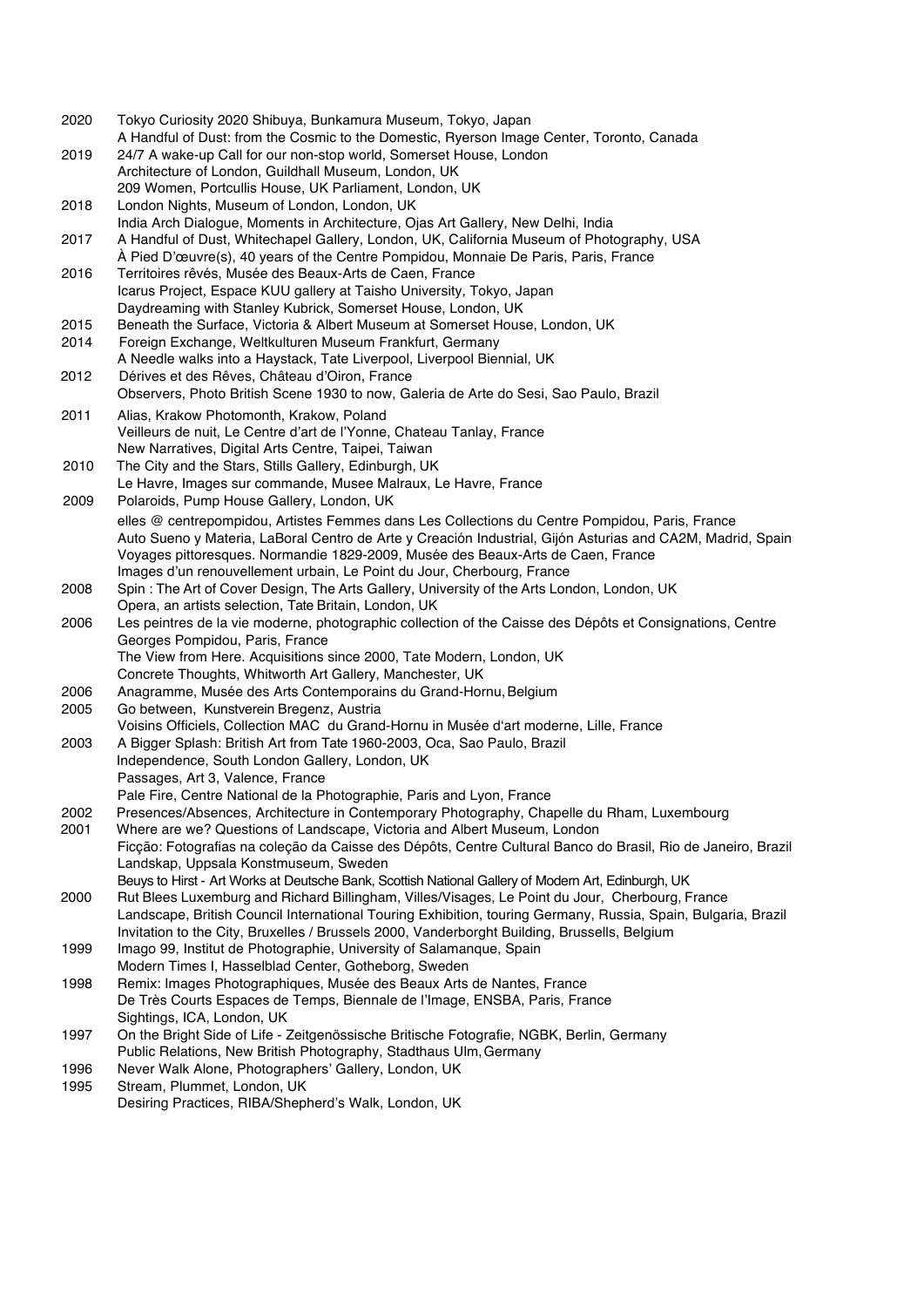2020 Tokyo Curiosity 2020 Shibuya, Bunkamura Museum, Tokyo, Japan A Handful of Dust: from the Cosmic to the Domestic, Ryerson Image Center, Toronto, Canada 2019 24/7 A wake-up Call for our non-stop world, Somerset House, London Architecture of London, Guildhall Museum, London, UK 209 Women, Portcullis House, UK Parliament, London, UK 2018 London Nights, Museum of London, London, UK India Arch Dialogue, Moments in Architecture, Ojas Art Gallery, New Delhi, India 2017 A Handful of Dust, Whitechapel Gallery, London, UK, California Museum of Photography, USA À Pied D'œuvre(s), 40 years of the Centre Pompidou, Monnaie De Paris, Paris, France 2016 Territoires rêvés, Musée des Beaux-Arts de Caen, France Icarus Project, Espace KUU gallery at Taisho University, Tokyo, Japan Daydreaming with Stanley Kubrick, Somerset House, London, UK 2015 Beneath the Surface, Victoria & Albert Museum at Somerset House, London, UK 2014 Foreign Exchange, Weltkulturen Museum Frankfurt, Germany A Needle walks into a Haystack, Tate Liverpool, Liverpool Biennial, UK 2012 Dérives et des Rêves, Château d'Oiron, France Observers, Photo British Scene 1930 to now, Galeria de Arte do Sesi, Sao Paulo, Brazil 2011 Alias, Krakow Photomonth, Krakow, Poland Veilleurs de nuit, Le Centre d'art de l'Yonne, Chateau Tanlay, France New Narratives, Digital Arts Centre, Taipei, Taiwan 2010 The City and the Stars, Stills Gallery, Edinburgh, UK Le Havre, Images sur commande, Musee Malraux, Le Havre, France 2009 Polaroids, Pump House Gallery, London, UK elles @ centrepompidou, Artistes Femmes dans Les Collections du Centre Pompidou, Paris, France Auto Sueno y Materia, LaBoral Centro de Arte y Creación Industrial, Gijón Asturias and CA2M, Madrid, Spain Voyages pittoresques. Normandie 1829-2009, Musée des Beaux-Arts de Caen, France Images d'un renouvellement urbain, Le Point du Jour, Cherbourg, France 2008 Spin : The Art of Cover Design, The Arts Gallery, University of the Arts London, London, UK Opera, an artists selection, Tate Britain, London, UK 2006 Les peintres de la vie moderne, photographic collection of the Caisse des Dépôts et Consignations, Centre Georges Pompidou, Paris, France The View from Here. Acquisitions since 2000, Tate Modern, London, UK Concrete Thoughts, Whitworth Art Gallery, Manchester, UK 2006 Anagramme, Musée des Arts Contemporains du Grand-Hornu, Belgium 2005 Go between, Kunstverein Bregenz, Austria Voisins Officiels, Collection MAC du Grand-Hornu in Musée d'art moderne, Lille, France 2003 A Bigger Splash: British Art from Tate 1960-2003, Oca, Sao Paulo, Brazil Independence, South London Gallery, London, UK Passages, Art 3, Valence, France Pale Fire, Centre National de la Photographie, Paris and Lyon, France 2002 Presences/Absences, Architecture in Contemporary Photography, Chapelle du Rham, Luxembourg Where are we? Questions of Landscape, Victoria and Albert Museum, London Ficção: Fotografias na coleção da Caisse des Dépôts, Centre Cultural Banco do Brasil, Rio de Janeiro, Brazil Landskap, Uppsala Konstmuseum, Sweden Beuys to Hirst - Art Works at Deutsche Bank, Scottish National Gallery of Modern Art, Edinburgh, UK 2000 Rut Blees Luxemburg and Richard Billingham, Villes/Visages, Le Point du Jour, Cherbourg, France Landscape, British Council International Touring Exhibition, touring Germany, Russia, Spain, Bulgaria, Brazil Invitation to the City, Bruxelles / Brussels 2000, Vanderborght Building, Brussells, Belgium 1999 Imago 99, Institut de Photographie, University of Salamanque, Spain Modern Times I, Hasselblad Center, Gotheborg, Sweden 1998 Remix: Images Photographiques, Musée des Beaux Arts de Nantes, France De Très Courts Espaces de Temps, Biennale de l'Image, ENSBA, Paris, France Sightings, ICA, London, UK 1997 On the Bright Side of Life - Zeitgenössische Britische Fotografie, NGBK, Berlin, Germany Public Relations, New British Photography, Stadthaus Ulm,Germany 1996 Never Walk Alone, Photographers' Gallery, London, UK 1995 Stream, Plummet, London, UK Desiring Practices, RIBA/Shepherd's Walk, London, UK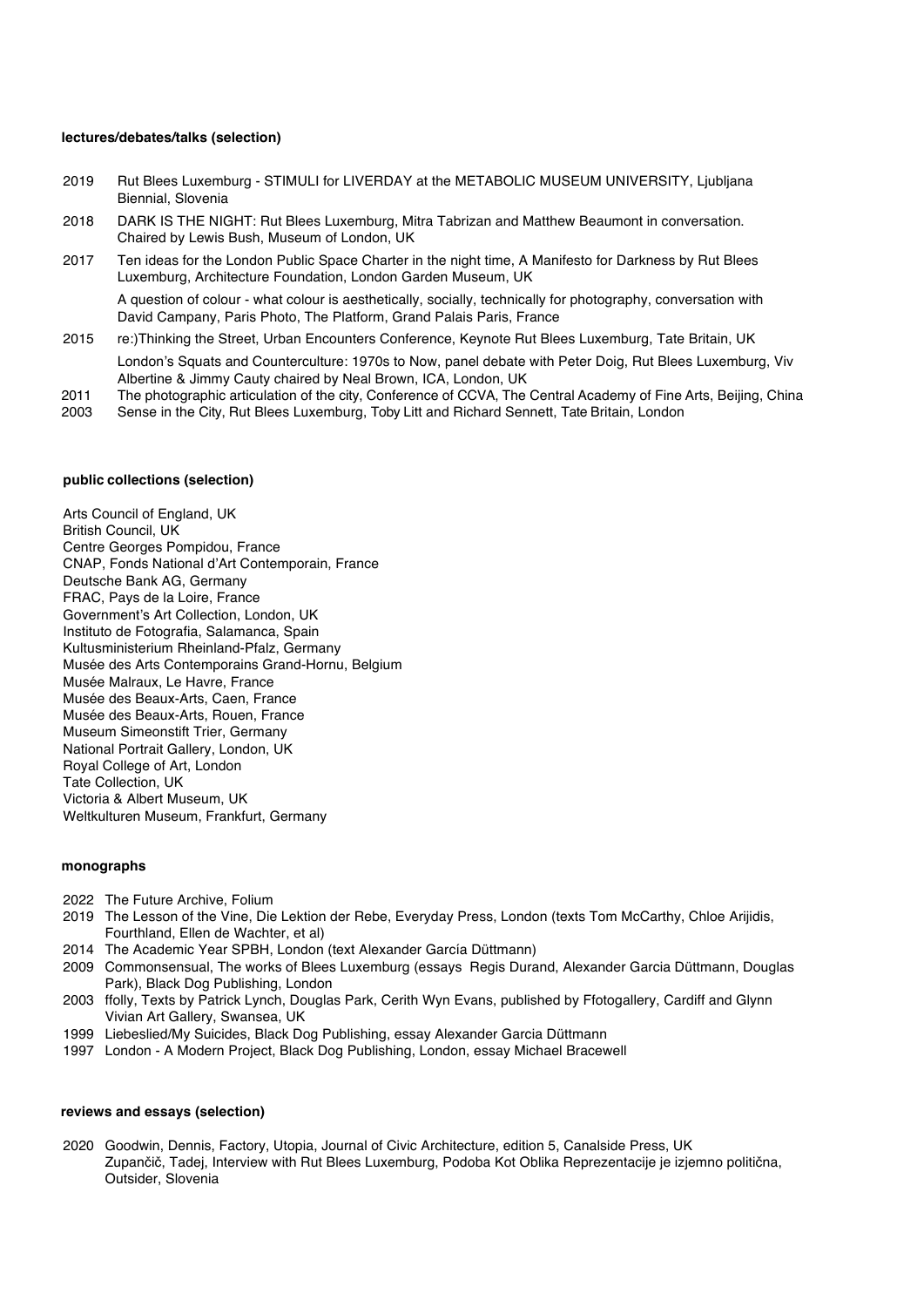# **lectures/debates/talks (selection)**

- 2019 Rut Blees Luxemburg STIMULI for LIVERDAY at the METABOLIC MUSEUM UNIVERSITY, Ljubljana Biennial, Slovenia
- 2018 DARK IS THE NIGHT: Rut Blees Luxemburg, Mitra Tabrizan and Matthew Beaumont in conversation. Chaired by Lewis Bush, Museum of London, UK
- 2017 Ten ideas for the London Public Space Charter in the night time, A Manifesto for Darkness by Rut Blees Luxemburg, Architecture Foundation, London Garden Museum, UK

A question of colour - what colour is aesthetically, socially, technically for photography, conversation with David Campany, Paris Photo, The Platform, Grand Palais Paris, France

- 2015 re:)Thinking the Street, Urban Encounters Conference, Keynote Rut Blees Luxemburg, Tate Britain, UK London's Squats and Counterculture: 1970s to Now, panel debate with Peter Doig, Rut Blees Luxemburg, Viv Albertine & Jimmy Cauty chaired by Neal Brown, ICA, London, UK
- 2011 The photographic articulation of the city, Conference of CCVA, The Central Academy of Fine Arts, Beijing, China
- 2003 Sense in the City, Rut Blees Luxemburg, Toby Litt and Richard Sennett, Tate Britain, London

#### **public collections (selection)**

Arts Council of England, UK British Council, UK Centre Georges Pompidou, France CNAP, Fonds National d'Art Contemporain, France Deutsche Bank AG, Germany FRAC, Pays de la Loire, France Government's Art Collection, London, UK Instituto de Fotografia, Salamanca, Spain Kultusministerium Rheinland-Pfalz, Germany Musée des Arts Contemporains Grand-Hornu, Belgium Musée Malraux, Le Havre, France Musée des Beaux-Arts, Caen, France Musée des Beaux-Arts, Rouen, France Museum Simeonstift Trier, Germany National Portrait Gallery, London, UK Royal College of Art, London Tate Collection, UK Victoria & Albert Museum, UK Weltkulturen Museum, Frankfurt, Germany

#### **monographs**

- 2022 The Future Archive, Folium
- 2019 The Lesson of the Vine, Die Lektion der Rebe, Everyday Press, London (texts Tom McCarthy, Chloe Arijidis, Fourthland, Ellen de Wachter, et al)
- 2014 The Academic Year SPBH, London (text Alexander García Düttmann)
- 2009 Commonsensual, The works of Blees Luxemburg (essays Regis Durand, Alexander Garcia Düttmann, Douglas Park), Black Dog Publishing, London
- 2003 ffolly, Texts by Patrick Lynch, Douglas Park, Cerith Wyn Evans, published by Ffotogallery, Cardiff and Glynn Vivian Art Gallery, Swansea, UK
- 1999 Liebeslied/My Suicides, Black Dog Publishing, essay Alexander Garcia Düttmann
- 1997 London A Modern Project, Black Dog Publishing, London, essay Michael Bracewell

#### **reviews and essays (selection)**

2020 Goodwin, Dennis, Factory, Utopia, Journal of Civic Architecture, edition 5, Canalside Press, UK Zupančič, Tadej, Interview with Rut Blees Luxemburg, Podoba Kot Oblika Reprezentacije je izjemno politična, Outsider, Slovenia